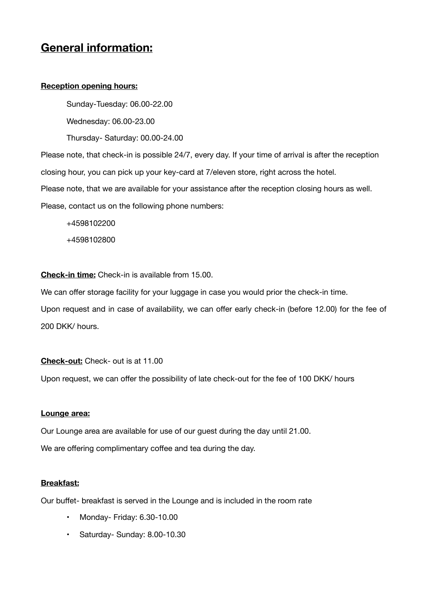# **General information:**

# **Reception opening hours:**

Sunday-Tuesday: 06.00-22.00 Wednesday: 06.00-23.00 Thursday- Saturday: 00.00-24.00

Please note, that check-in is possible 24/7, every day. If your time of arrival is after the reception closing hour, you can pick up your key-card at 7/eleven store, right across the hotel. Please note, that we are available for your assistance after the reception closing hours as well. Please, contact us on the following phone numbers:

+4598102200

+4598102800

**Check-in time:** Check-in is available from 15.00.

We can offer storage facility for your luggage in case you would prior the check-in time.

Upon request and in case of availability, we can offer early check-in (before 12.00) for the fee of 200 DKK/ hours.

# **Check-out:** Check- out is at 11.00

Upon request, we can offer the possibility of late check-out for the fee of 100 DKK/ hours

# **Lounge area:**

Our Lounge area are available for use of our guest during the day until 21.00. We are offering complimentary coffee and tea during the day.

# **Breakfast:**

Our buffet- breakfast is served in the Lounge and is included in the room rate

- Monday- Friday: 6.30-10.00
- Saturday- Sunday: 8.00-10.30